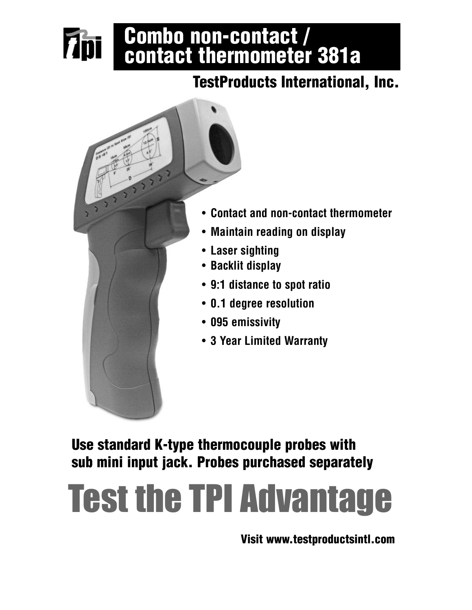# Combo non-contact / contact thermometer 381a

# TestProducts International, Inc.



**Thi** 

• **Contact and non-contact thermometer**

- **Maintain reading on display**
- **9:1 distance to spot ratio**
- **0.1 degree resolution**
- **3 Year Limited Warranty**

Use standard K-type thermocouple probes with sub mini input jack. Probes purchased separately

# Test the TPI Advantage

Visit www.testproductsintl.com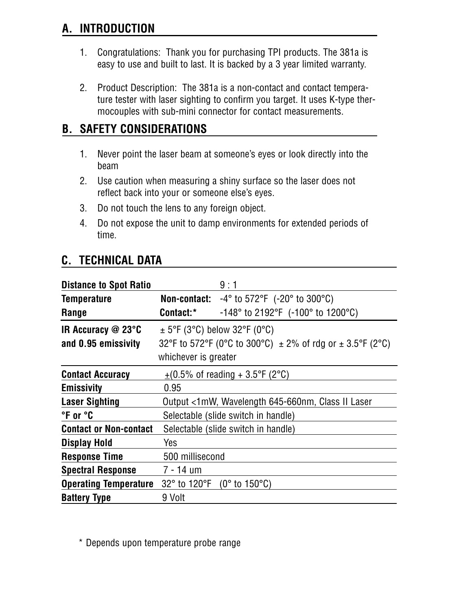# **A. INTRODUCTION**

- 1. Congratulations: Thank you for purchasing TPI products. The 381a is easy to use and built to last. It is backed by a 3 year limited warranty.
- 2. Product Description: The 381a is a non-contact and contact temperature tester with laser sighting to confirm you target. It uses K-type thermocouples with sub-mini connector for contact measurements.

# **B. SAFETY CONSIDERATIONS**

- 1. Never point the laser beam at someone's eyes or look directly into the beam
- 2. Use caution when measuring a shiny surface so the laser does not reflect back into your or someone else's eyes.
- 3. Do not touch the lens to any foreign object.
- 4. Do not expose the unit to damp environments for extended periods of time.

# **C. TECHNICAL DATA**

| <b>Distance to Spot Ratio</b> |                                                                   | 9:1                                                                 |  |
|-------------------------------|-------------------------------------------------------------------|---------------------------------------------------------------------|--|
| <b>Temperature</b>            |                                                                   | <b>Non-contact:</b> $-4^{\circ}$ to 572°F ( $-20^{\circ}$ to 300°C) |  |
| Range                         | Contact:*                                                         | -148° to 2192°F (-100° to 1200°C)                                   |  |
| IR Accuracy @ 23°C            | $\pm$ 5°F (3°C) below 32°F (0°C)                                  |                                                                     |  |
| and 0.95 emissivity           | 32°F to 572°F (0°C to 300°C) $\pm$ 2% of rdg or $\pm$ 3.5°F (2°C) |                                                                     |  |
|                               | whichever is greater                                              |                                                                     |  |
| <b>Contact Accuracy</b>       | $\pm$ (0.5% of reading + 3.5°F (2°C)                              |                                                                     |  |
| <b>Emissivity</b>             | 0.95                                                              |                                                                     |  |
| <b>Laser Sighting</b>         |                                                                   | Output <1mW, Wavelength 645-660nm, Class II Laser                   |  |
| °F or °C                      | Selectable (slide switch in handle)                               |                                                                     |  |
| <b>Contact or Non-contact</b> | Selectable (slide switch in handle)                               |                                                                     |  |
| Display Hold                  | Yes                                                               |                                                                     |  |
| <b>Response Time</b>          | 500 millisecond                                                   |                                                                     |  |
| <b>Spectral Response</b>      | 7 - 14 um                                                         |                                                                     |  |
| <b>Operating Temperature</b>  | 32° to 120°F                                                      | $(0^{\circ}$ to 150 $^{\circ}$ C)                                   |  |
| <b>Battery Type</b>           | 9 Volt                                                            |                                                                     |  |

\* Depends upon temperature probe range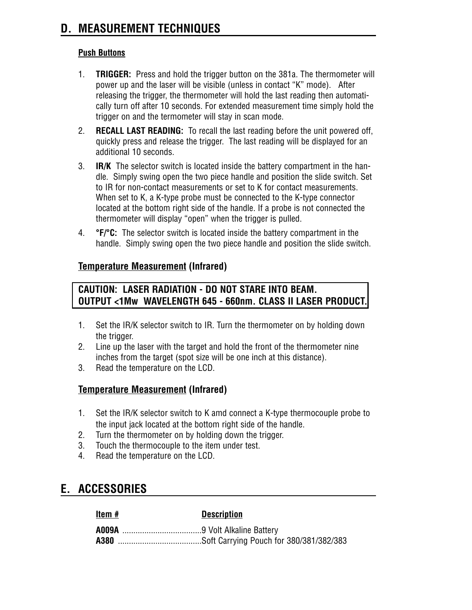#### **Push Buttons**

- 1. **TRIGGER:** Press and hold the trigger button on the 381a. The thermometer will power up and the laser will be visible (unless in contact "K" mode). After releasing the trigger, the thermometer will hold the last reading then automatically turn off after 10 seconds. For extended measurement time simply hold the trigger on and the termometer will stay in scan mode.
- 2. **RECALL LAST READING:** To recall the last reading before the unit powered off, quickly press and release the trigger. The last reading will be displayed for an additional 10 seconds.
- 3. **IR/K** The selector switch is located inside the battery compartment in the handle. Simply swing open the two piece handle and position the slide switch. Set to IR for non-contact measurements or set to K for contact measurements. When set to K, a K-type probe must be connected to the K-type connector located at the bottom right side of the handle. If a probe is not connected the thermometer will display "open" when the trigger is pulled.
- 4. **°F/°C:** The selector switch is located inside the battery compartment in the handle. Simply swing open the two piece handle and position the slide switch.

#### **Temperature Measurement (Infrared)**

#### **CAUTION: LASER RADIATION - DO NOT STARE INTO BEAM. OUTPUT <1Mw WAVELENGTH 645 - 660nm. CLASS II LASER PRODUCT.**

- 1. Set the IR/K selector switch to IR. Turn the thermometer on by holding down the trigger.
- 2. Line up the laser with the target and hold the front of the thermometer nine inches from the target (spot size will be one inch at this distance).
- 3. Read the temperature on the LCD.

#### **Temperature Measurement (Infrared)**

- 1. Set the IR/K selector switch to K amd connect a K-type thermocouple probe to the input jack located at the bottom right side of the handle.
- 2. Turn the thermometer on by holding down the trigger.
- 3. Touch the thermocouple to the item under test.
- 4. Read the temperature on the LCD.

# **E. ACCESSORIES**

| Item # | <b>Description</b> |
|--------|--------------------|
|        |                    |
|        |                    |